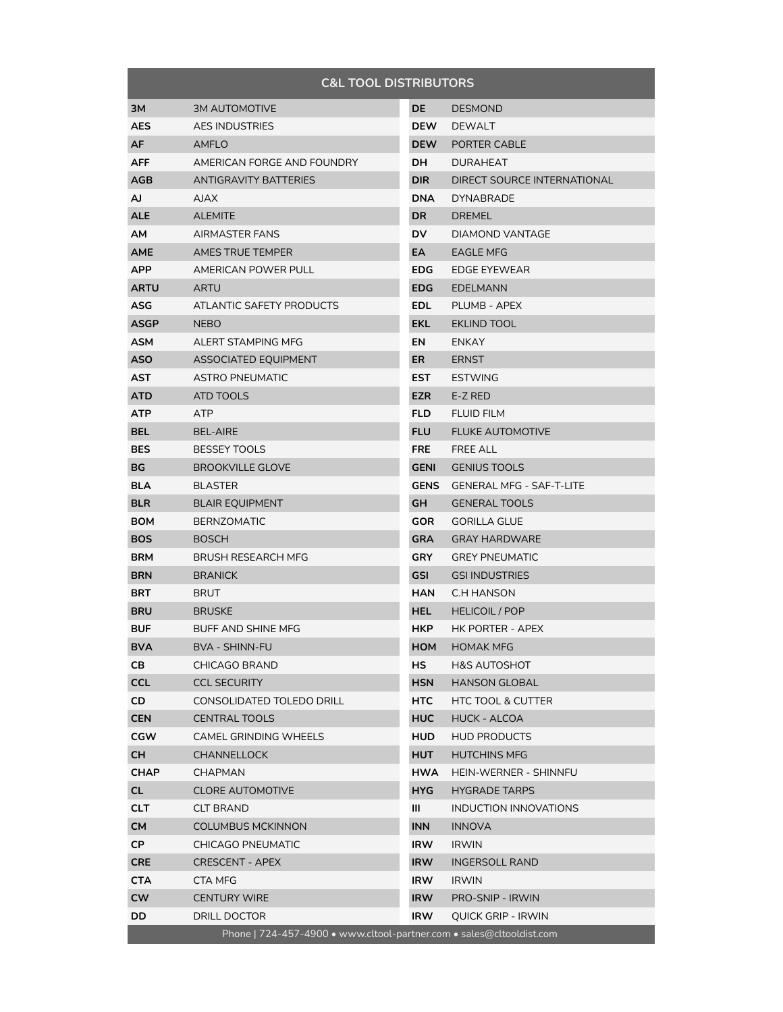| <b>C&amp;L TOOL DISTRIBUTORS</b>                                     |                              |             |                                 |  |  |
|----------------------------------------------------------------------|------------------------------|-------------|---------------------------------|--|--|
| ЗМ                                                                   | <b>3M AUTOMOTIVE</b>         | DE          | <b>DESMOND</b>                  |  |  |
| <b>AES</b>                                                           | <b>AES INDUSTRIES</b>        | <b>DEW</b>  | <b>DEWALT</b>                   |  |  |
| AF                                                                   | <b>AMFLO</b>                 | <b>DEW</b>  | PORTER CABLE                    |  |  |
| <b>AFF</b>                                                           | AMERICAN FORGE AND FOUNDRY   | DH.         | <b>DURAHEAT</b>                 |  |  |
| AGB                                                                  | <b>ANTIGRAVITY BATTERIES</b> | DIR.        | DIRECT SOURCE INTERNATIONAL     |  |  |
| AJ                                                                   | <b>AJAX</b>                  | <b>DNA</b>  | <b>DYNABRADE</b>                |  |  |
| <b>ALE</b>                                                           | <b>ALEMITE</b>               | DR          | <b>DREMEL</b>                   |  |  |
| АM                                                                   | AIRMASTER FANS               | DV          | DIAMOND VANTAGE                 |  |  |
| AME                                                                  | AMES TRUE TEMPER             | EA          | <b>EAGLE MFG</b>                |  |  |
| APP                                                                  | AMERICAN POWER PULL          | EDG.        | EDGE EYEWEAR                    |  |  |
| <b>ARTU</b>                                                          | ARTU                         | EDG.        | <b>EDELMANN</b>                 |  |  |
| ASG                                                                  | ATLANTIC SAFETY PRODUCTS     | EDL.        | PLUMB - APEX                    |  |  |
| <b>ASGP</b>                                                          | <b>NEBO</b>                  | EKL         | <b>EKLIND TOOL</b>              |  |  |
| <b>ASM</b>                                                           | ALERT STAMPING MFG           | EN          | <b>ENKAY</b>                    |  |  |
| <b>ASO</b>                                                           | <b>ASSOCIATED EQUIPMENT</b>  | ER          | <b>ERNST</b>                    |  |  |
| AST                                                                  | <b>ASTRO PNEUMATIC</b>       | EST.        | <b>ESTWING</b>                  |  |  |
| ATD                                                                  | ATD TOOLS                    | <b>EZR</b>  | E-Z RED                         |  |  |
| <b>ATP</b>                                                           | <b>ATP</b>                   | <b>FLD</b>  | <b>FLUID FILM</b>               |  |  |
| <b>BEL</b>                                                           | <b>BEL-AIRE</b>              | <b>FLU</b>  | <b>FLUKE AUTOMOTIVE</b>         |  |  |
| <b>BES</b>                                                           | <b>BESSEY TOOLS</b>          | <b>FRE</b>  | <b>FREE ALL</b>                 |  |  |
| ВG                                                                   | <b>BROOKVILLE GLOVE</b>      | <b>GENI</b> | <b>GENIUS TOOLS</b>             |  |  |
| BLA                                                                  | <b>BLASTER</b>               | <b>GENS</b> | <b>GENERAL MFG - SAF-T-LITE</b> |  |  |
| <b>BLR</b>                                                           | <b>BLAIR EQUIPMENT</b>       | GH          | <b>GENERAL TOOLS</b>            |  |  |
| <b>BOM</b>                                                           | <b>BERNZOMATIC</b>           | <b>GOR</b>  | <b>GORILLA GLUE</b>             |  |  |
| <b>BOS</b>                                                           | <b>BOSCH</b>                 | <b>GRA</b>  | <b>GRAY HARDWARE</b>            |  |  |
| <b>BRM</b>                                                           | <b>BRUSH RESEARCH MFG</b>    | <b>GRY</b>  | <b>GREY PNEUMATIC</b>           |  |  |
| <b>BRN</b>                                                           | <b>BRANICK</b>               | <b>GSI</b>  | <b>GSI INDUSTRIES</b>           |  |  |
| BRT                                                                  | <b>BRUT</b>                  | <b>HAN</b>  | C.H HANSON                      |  |  |
| <b>BRU</b>                                                           | <b>BRUSKE</b>                | HEL I       | <b>HELICOIL / POP</b>           |  |  |
| <b>BUF</b>                                                           | <b>BUFF AND SHINE MFG</b>    | HKP.        | HK PORTER - APEX                |  |  |
| <b>BVA</b>                                                           | BVA - SHINN-FU               | HOM         | <b>HOMAK MFG</b>                |  |  |
| CB.                                                                  | CHICAGO BRAND                | HS.         | H&S AUTOSHOT                    |  |  |
| <b>CCL</b>                                                           | <b>CCL SECURITY</b>          | HSN         | <b>HANSON GLOBAL</b>            |  |  |
| CD                                                                   | CONSOLIDATED TOLEDO DRILL    | HTC.        | <b>HTC TOOL &amp; CUTTER</b>    |  |  |
| <b>CEN</b>                                                           | <b>CENTRAL TOOLS</b>         | <b>HUC</b>  | <b>HUCK - ALCOA</b>             |  |  |
| <b>CGW</b>                                                           | <b>CAMEL GRINDING WHEELS</b> | <b>HUD</b>  | <b>HUD PRODUCTS</b>             |  |  |
| <b>CH</b>                                                            | <b>CHANNELLOCK</b>           | HUT         | <b>HUTCHINS MFG</b>             |  |  |
| <b>CHAP</b>                                                          | <b>CHAPMAN</b>               | <b>HWA</b>  | HEIN-WERNER - SHINNFU           |  |  |
| <b>CL</b>                                                            | <b>CLORE AUTOMOTIVE</b>      | HYG.        | <b>HYGRADE TARPS</b>            |  |  |
| CLT.                                                                 | <b>CLT BRAND</b>             | Ш           | INDUCTION INNOVATIONS           |  |  |
| <b>CM</b>                                                            | <b>COLUMBUS MCKINNON</b>     | <b>INN</b>  | <b>INNOVA</b>                   |  |  |
| CP.                                                                  | <b>CHICAGO PNEUMATIC</b>     | <b>IRW</b>  | <b>IRWIN</b>                    |  |  |
| <b>CRE</b>                                                           | <b>CRESCENT - APEX</b>       | <b>IRW</b>  | <b>INGERSOLL RAND</b>           |  |  |
| <b>CTA</b>                                                           | CTA MFG                      | <b>IRW</b>  | <b>IRWIN</b>                    |  |  |
| <b>CW</b>                                                            | <b>CENTURY WIRE</b>          | <b>IRW</b>  | <b>PRO-SNIP - IRWIN</b>         |  |  |
| DD                                                                   | DRILL DOCTOR                 | <b>IRW</b>  | QUICK GRIP - IRWIN              |  |  |
| Phone   724-457-4900 · www.cltool-partner.com · sales@cltooldist.com |                              |             |                                 |  |  |